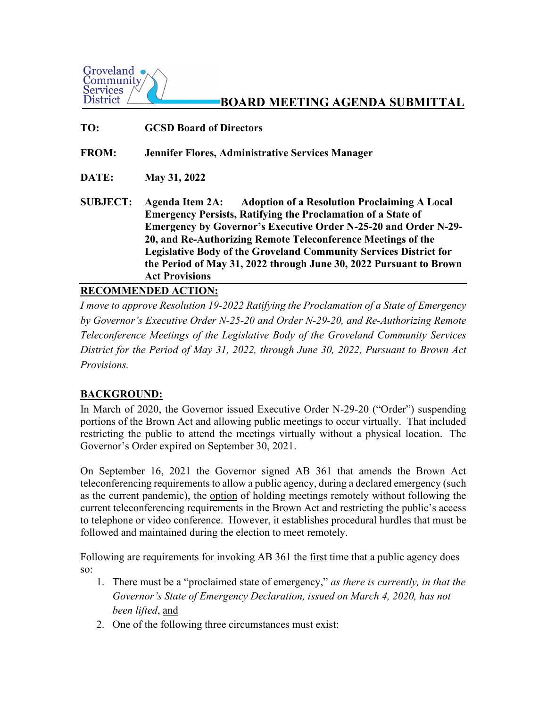

# **BOARD MEETING AGENDA SUBMITTAL**

**TO: GCSD Board of Directors**

**FROM: Jennifer Flores, Administrative Services Manager**

**DATE: May 31, 2022** 

**SUBJECT: Agenda Item 2A: Adoption of a Resolution Proclaiming A Local Emergency Persists, Ratifying the Proclamation of a State of Emergency by Governor's Executive Order N-25-20 and Order N-29- 20, and Re-Authorizing Remote Teleconference Meetings of the Legislative Body of the Groveland Community Services District for the Period of May 31, 2022 through June 30, 2022 Pursuant to Brown Act Provisions**

### **RECOMMENDED ACTION:**

*I move to approve Resolution 19-2022 Ratifying the Proclamation of a State of Emergency by Governor's Executive Order N-25-20 and Order N-29-20, and Re-Authorizing Remote Teleconference Meetings of the Legislative Body of the Groveland Community Services District for the Period of May 31, 2022, through June 30, 2022, Pursuant to Brown Act Provisions.* 

# **BACKGROUND:**

In March of 2020, the Governor issued Executive Order N-29-20 ("Order") suspending portions of the Brown Act and allowing public meetings to occur virtually. That included restricting the public to attend the meetings virtually without a physical location. The Governor's Order expired on September 30, 2021.

On September 16, 2021 the Governor signed AB 361 that amends the Brown Act teleconferencing requirements to allow a public agency, during a declared emergency (such as the current pandemic), the option of holding meetings remotely without following the current teleconferencing requirements in the Brown Act and restricting the public's access to telephone or video conference. However, it establishes procedural hurdles that must be followed and maintained during the election to meet remotely.

Following are requirements for invoking AB 361 the first time that a public agency does so:

- 1. There must be a "proclaimed state of emergency," *as there is currently, in that the Governor's State of Emergency Declaration, issued on March 4, 2020, has not been lifted*, and
- 2. One of the following three circumstances must exist: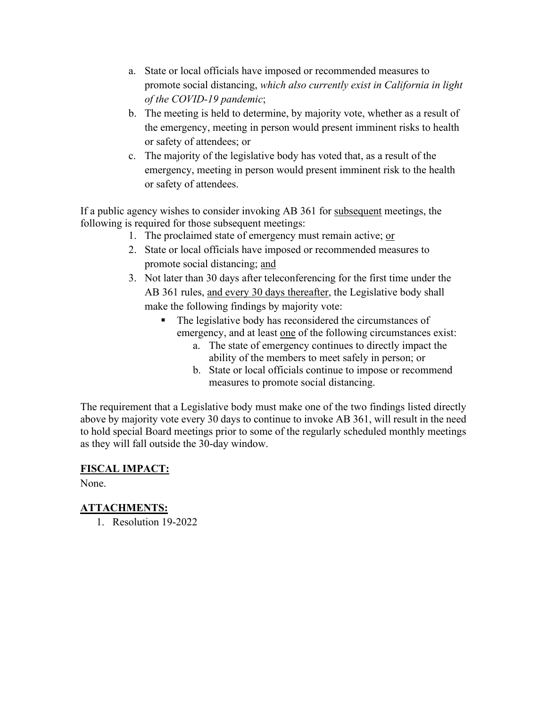- a. State or local officials have imposed or recommended measures to promote social distancing, *which also currently exist in California in light of the COVID-19 pandemic*;
- b. The meeting is held to determine, by majority vote, whether as a result of the emergency, meeting in person would present imminent risks to health or safety of attendees; or
- c. The majority of the legislative body has voted that, as a result of the emergency, meeting in person would present imminent risk to the health or safety of attendees.

If a public agency wishes to consider invoking AB 361 for subsequent meetings, the following is required for those subsequent meetings:

- 1. The proclaimed state of emergency must remain active; or
- 2. State or local officials have imposed or recommended measures to promote social distancing; and
- 3. Not later than 30 days after teleconferencing for the first time under the AB 361 rules, and every 30 days thereafter, the Legislative body shall make the following findings by majority vote:
	- The legislative body has reconsidered the circumstances of emergency, and at least one of the following circumstances exist:
		- a. The state of emergency continues to directly impact the ability of the members to meet safely in person; or
		- b. State or local officials continue to impose or recommend measures to promote social distancing.

The requirement that a Legislative body must make one of the two findings listed directly above by majority vote every 30 days to continue to invoke AB 361, will result in the need to hold special Board meetings prior to some of the regularly scheduled monthly meetings as they will fall outside the 30-day window.

# **FISCAL IMPACT:**

None.

# **ATTACHMENTS:**

1. Resolution 19-2022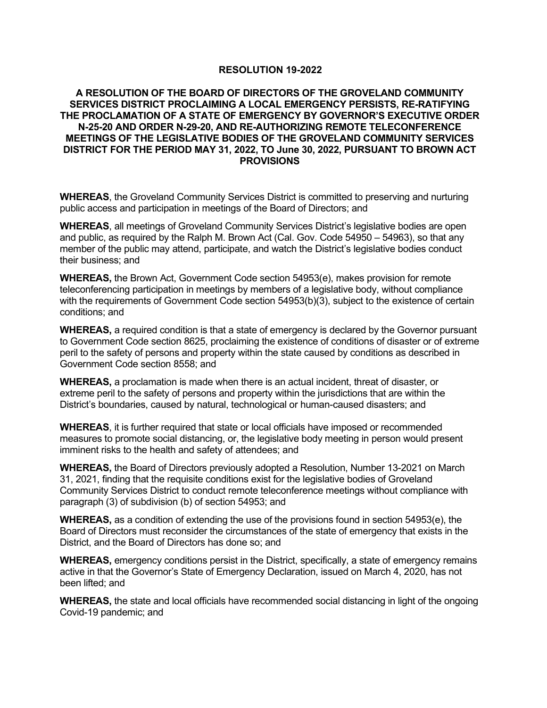#### **RESOLUTION 19-2022**

#### **A RESOLUTION OF THE BOARD OF DIRECTORS OF THE GROVELAND COMMUNITY SERVICES DISTRICT PROCLAIMING A LOCAL EMERGENCY PERSISTS, RE-RATIFYING THE PROCLAMATION OF A STATE OF EMERGENCY BY GOVERNOR'S EXECUTIVE ORDER N-25-20 AND ORDER N-29-20, AND RE-AUTHORIZING REMOTE TELECONFERENCE MEETINGS OF THE LEGISLATIVE BODIES OF THE GROVELAND COMMUNITY SERVICES DISTRICT FOR THE PERIOD MAY 31, 2022, TO June 30, 2022, PURSUANT TO BROWN ACT PROVISIONS**

**WHEREAS**, the Groveland Community Services District is committed to preserving and nurturing public access and participation in meetings of the Board of Directors; and

**WHEREAS**, all meetings of Groveland Community Services District's legislative bodies are open and public, as required by the Ralph M. Brown Act (Cal. Gov. Code 54950 – 54963), so that any member of the public may attend, participate, and watch the District's legislative bodies conduct their business; and

**WHEREAS,** the Brown Act, Government Code section 54953(e), makes provision for remote teleconferencing participation in meetings by members of a legislative body, without compliance with the requirements of Government Code section 54953(b)(3), subject to the existence of certain conditions; and

**WHEREAS,** a required condition is that a state of emergency is declared by the Governor pursuant to Government Code section 8625, proclaiming the existence of conditions of disaster or of extreme peril to the safety of persons and property within the state caused by conditions as described in Government Code section 8558; and

**WHEREAS,** a proclamation is made when there is an actual incident, threat of disaster, or extreme peril to the safety of persons and property within the jurisdictions that are within the District's boundaries, caused by natural, technological or human-caused disasters; and

**WHEREAS**, it is further required that state or local officials have imposed or recommended measures to promote social distancing, or, the legislative body meeting in person would present imminent risks to the health and safety of attendees; and

**WHEREAS,** the Board of Directors previously adopted a Resolution, Number 13-2021 on March 31, 2021, finding that the requisite conditions exist for the legislative bodies of Groveland Community Services District to conduct remote teleconference meetings without compliance with paragraph (3) of subdivision (b) of section 54953; and

**WHEREAS,** as a condition of extending the use of the provisions found in section 54953(e), the Board of Directors must reconsider the circumstances of the state of emergency that exists in the District, and the Board of Directors has done so; and

**WHEREAS,** emergency conditions persist in the District, specifically, a state of emergency remains active in that the Governor's State of Emergency Declaration, issued on March 4, 2020, has not been lifted; and

**WHEREAS,** the state and local officials have recommended social distancing in light of the ongoing Covid-19 pandemic; and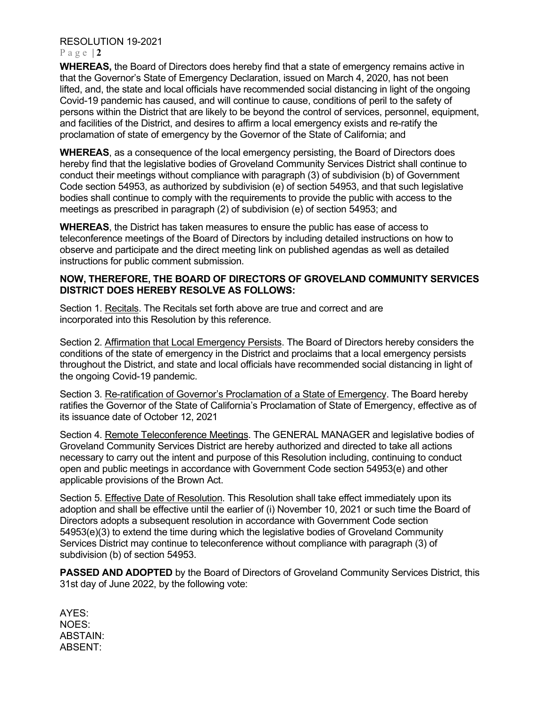### RESOLUTION 19-2021

#### Page  $|2|$

**WHEREAS,** the Board of Directors does hereby find that a state of emergency remains active in that the Governor's State of Emergency Declaration, issued on March 4, 2020, has not been lifted, and, the state and local officials have recommended social distancing in light of the ongoing Covid-19 pandemic has caused, and will continue to cause, conditions of peril to the safety of persons within the District that are likely to be beyond the control of services, personnel, equipment, and facilities of the District, and desires to affirm a local emergency exists and re-ratify the proclamation of state of emergency by the Governor of the State of California; and

**WHEREAS**, as a consequence of the local emergency persisting, the Board of Directors does hereby find that the legislative bodies of Groveland Community Services District shall continue to conduct their meetings without compliance with paragraph (3) of subdivision (b) of Government Code section 54953, as authorized by subdivision (e) of section 54953, and that such legislative bodies shall continue to comply with the requirements to provide the public with access to the meetings as prescribed in paragraph (2) of subdivision (e) of section 54953; and

**WHEREAS**, the District has taken measures to ensure the public has ease of access to teleconference meetings of the Board of Directors by including detailed instructions on how to observe and participate and the direct meeting link on published agendas as well as detailed instructions for public comment submission.

### **NOW, THEREFORE, THE BOARD OF DIRECTORS OF GROVELAND COMMUNITY SERVICES DISTRICT DOES HEREBY RESOLVE AS FOLLOWS:**

Section 1. Recitals. The Recitals set forth above are true and correct and are incorporated into this Resolution by this reference.

Section 2. Affirmation that Local Emergency Persists. The Board of Directors hereby considers the conditions of the state of emergency in the District and proclaims that a local emergency persists throughout the District, and state and local officials have recommended social distancing in light of the ongoing Covid-19 pandemic.

Section 3. Re-ratification of Governor's Proclamation of a State of Emergency. The Board hereby ratifies the Governor of the State of California's Proclamation of State of Emergency, effective as of its issuance date of October 12, 2021

Section 4. Remote Teleconference Meetings. The GENERAL MANAGER and legislative bodies of Groveland Community Services District are hereby authorized and directed to take all actions necessary to carry out the intent and purpose of this Resolution including, continuing to conduct open and public meetings in accordance with Government Code section 54953(e) and other applicable provisions of the Brown Act.

Section 5. Effective Date of Resolution. This Resolution shall take effect immediately upon its adoption and shall be effective until the earlier of (i) November 10, 2021 or such time the Board of Directors adopts a subsequent resolution in accordance with Government Code section 54953(e)(3) to extend the time during which the legislative bodies of Groveland Community Services District may continue to teleconference without compliance with paragraph (3) of subdivision (b) of section 54953.

**PASSED AND ADOPTED** by the Board of Directors of Groveland Community Services District, this 31st day of June 2022, by the following vote:

AYES: NOES: ABSTAIN: ABSENT: